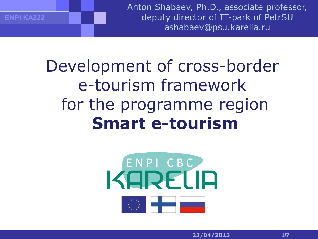Anton Shabaev, Ph.D., associate professor, deputy director of IT-park of PetrSU ashabaev@psu.karelia.ru

Development of cross-border e-tourism framework for the programme region **Smart e-tourism**

**ENPI KA322**

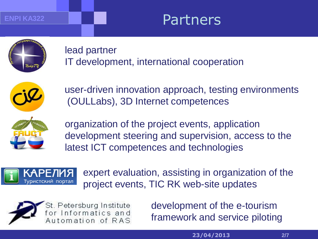#### **ENPI KA322**

### Partners

lead partner IT development, international cooperation



user-driven innovation approach, testing environments (OULLabs), 3D Internet competences



organization of the project events, application development steering and supervision, access to the latest ICT competences and technologies



expert evaluation, assisting in organization of the project events, TIC RK web-site updates



development of the e-tourism framework and service piloting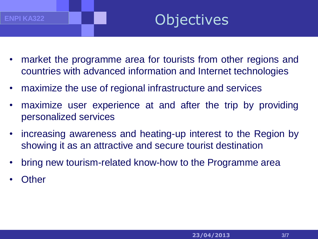## **Objectives**

- market the programme area for tourists from other regions and countries with advanced information and Internet technologies
- maximize the use of regional infrastructure and services
- maximize user experience at and after the trip by providing personalized services
- increasing awareness and heating-up interest to the Region by showing it as an attractive and secure tourist destination
- bring new tourism-related know-how to the Programme area
- **Other**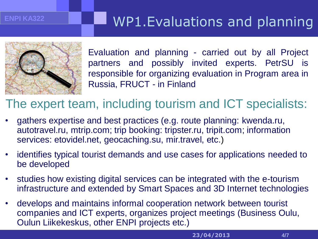#### **ENPI KA322**

### WP1.Evaluations and planning



Evaluation and planning - carried out by all Project partners and possibly invited experts. PetrSU is responsible for organizing evaluation in Program area in Russia, FRUCT - in Finland

#### The expert team, including tourism and ICT specialists:

- gathers expertise and best practices (e.g. route planning: kwenda.ru, autotravel.ru, mtrip.com; trip booking: tripster.ru, tripit.com; information services: etovidel.net, geocaching.su, mir.travel, etc.)
- identifies typical tourist demands and use cases for applications needed to be developed
- studies how existing digital services can be integrated with the e-tourism infrastructure and extended by Smart Spaces and 3D Internet technologies
- develops and maintains informal cooperation network between tourist companies and ICT experts, organizes project meetings (Business Oulu, Oulun Liikekeskus, other ENPI projects etc.)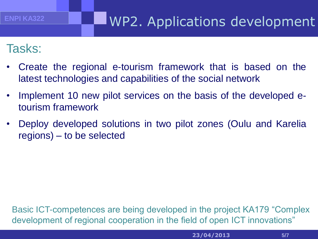### WP2. Applications development

#### Tasks:

- Create the regional e-tourism framework that is based on the latest technologies and capabilities of the social network
- Implement 10 new pilot services on the basis of the developed etourism framework
- Deploy developed solutions in two pilot zones (Oulu and Karelia regions) – to be selected

Basic ICT-competences are being developed in the project KA179 "Complex development of regional cooperation in the field of open ICT innovations"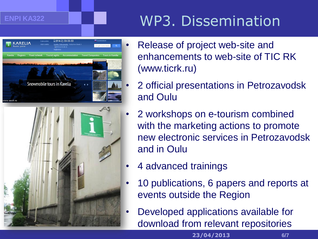#### **ENPI KA322**

# WP3. Dissemination





- Release of project web-site and enhancements to web-site of TIC RK (www.ticrk.ru)
- 2 official presentations in Petrozavodsk and Oulu
- 2 workshops on e-tourism combined with the marketing actions to promote new electronic services in Petrozavodsk and in Oulu
- 4 advanced trainings
- 10 publications, 6 papers and reports at events outside the Region
- Developed applications available for download from relevant repositories